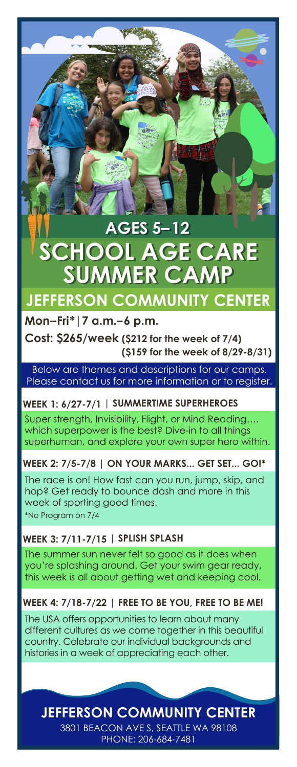# **SUMMER CAMP SUMMER CAMP AGES 5–12 AGES 5–12 SCHOOL AGE CARE**

# **JEFFERSON COMMUNITY CENTER**

### **Mon–Fri\*|7 a.m.–6 p.m.**

**Cost: \$265/week (\$212 for the week of 7/4) (\$159 for the week of 8/29-8/31)**

Below are themes and descriptions for our camps. Please contact us for more information or to register.

### **WEEK 1: 6/27-7/1 | SUMMERTIME SUPERHEROES**

Super strength, Invisibility, Flight, or Mind Reading…. which superpower is the best? Dive-in to all things superhuman, and explore your own super hero within.

**WEEK 2: 7/5-7/8 | ON YOUR MARKS... GET SET... GO!\***

\*No Program on 7/4 The race is on! How fast can you run, jump, skip, and hop? Get ready to bounce dash and more in this week of sporting good times.

# **WEEK 3: 7/11-7/15 | SPLISH SPLASH**

The summer sun never felt so good as it does when you're splashing around. Get your swim gear ready, this week is all about getting wet and keeping cool.

### **WEEK 4: 7/18-7/22 | FREE TO BE YOU, FREE TO BE ME!**

The USA offers opportunities to learn about many different cultures as we come together in this beautiful country. Celebrate our individual backgrounds and histories in a week of appreciating each other.

# **JEFFERSON COMMUNITY CENTER**

3801 BEACON AVE S, SEATTLE WA 98108 PHONE: 206-684-7481